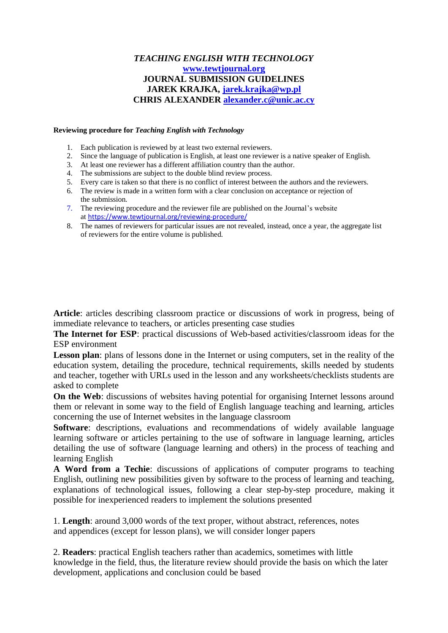# *TEACHING ENGLISH WITH TECHNOLOGY* **[www.tewtjournal.org](http://www.tewtjournal.org/) JOURNAL SUBMISSION GUIDELINES JAREK KRAJKA, [jarek.krajka@wp.pl](mailto:jarek.krajka@wp.pl) CHRIS ALEXANDER [alexander.c@unic.ac.cy](mailto:alexander.c@unic.ac.cy)**

#### **Reviewing procedure for** *Teaching English with Technology*

- 1. Each publication is reviewed by at least two external reviewers.
- 2. Since the language of publication is English, at least one reviewer is a native speaker of English.
- 3. At least one reviewer has a different affiliation country than the author.
- 4. The submissions are subject to the double blind review process.
- 5. Every care is taken so that there is no conflict of interest between the authors and the reviewers.
- 6. The review is made in a written form with a clear conclusion on acceptance or rejection of the submission.
- 7. The reviewing procedure and the reviewer file are published on the Journal's website at <https://www.tewtjournal.org/reviewing-procedure/>
- 8. The names of reviewers for particular issues are not revealed, instead, once a year, the aggregate list of reviewers for the entire volume is published.

**Article**: articles describing classroom practice or discussions of work in progress, being of immediate relevance to teachers, or articles presenting case studies

**The Internet for ESP**: practical discussions of Web-based activities/classroom ideas for the ESP environment

**Lesson plan**: plans of lessons done in the Internet or using computers, set in the reality of the education system, detailing the procedure, technical requirements, skills needed by students and teacher, together with URLs used in the lesson and any worksheets/checklists students are asked to complete

**On the Web**: discussions of websites having potential for organising Internet lessons around them or relevant in some way to the field of English language teaching and learning, articles concerning the use of Internet websites in the language classroom

**Software:** descriptions, evaluations and recommendations of widely available language learning software or articles pertaining to the use of software in language learning, articles detailing the use of software (language learning and others) in the process of teaching and learning English

**A Word from a Techie**: discussions of applications of computer programs to teaching English, outlining new possibilities given by software to the process of learning and teaching, explanations of technological issues, following a clear step-by-step procedure, making it possible for inexperienced readers to implement the solutions presented

1. **Length**: around 3,000 words of the text proper, without abstract, references, notes and appendices (except for lesson plans), we will consider longer papers

2. **Readers**: practical English teachers rather than academics, sometimes with little knowledge in the field, thus, the literature review should provide the basis on which the later development, applications and conclusion could be based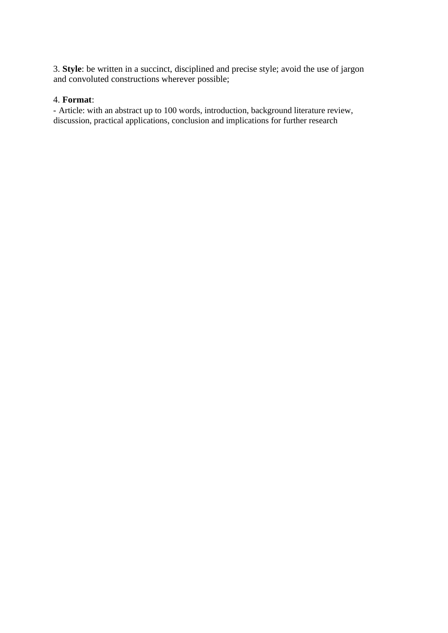3. **Style**: be written in a succinct, disciplined and precise style; avoid the use of jargon and convoluted constructions wherever possible;

### 4. **Format**:

- Article: with an abstract up to 100 words, introduction, background literature review, discussion, practical applications, conclusion and implications for further research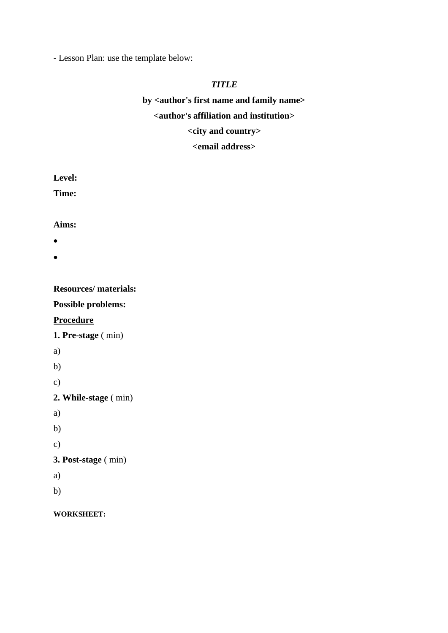- Lesson Plan: use the template below:

# *TITLE*

# **by <author's first name and family name> <author's affiliation and institution> <city and country> <email address>**

**Level:**

**Time:**

### **Aims:**

- •
- •

**Resources/ materials:**

**Possible problems:**

# **Procedure**

**1. Pre-stage** ( min)

- a)
- b)

c)

**2. While-stage** ( min)

- a)
- b)
- c)

# **3. Post-stage** ( min)

- a)
- b)

### **WORKSHEET:**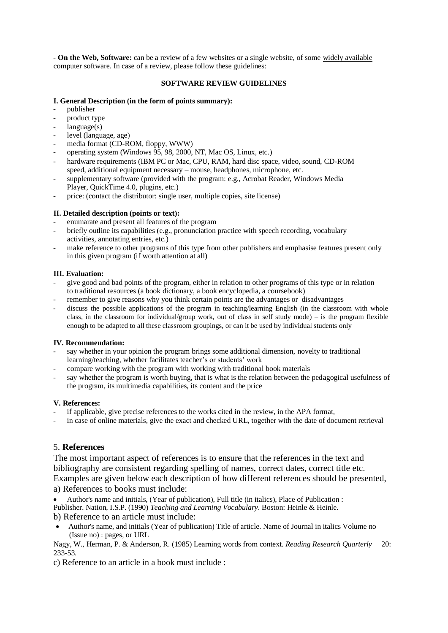- **On the Web, Software:** can be a review of a few websites or a single website, of some widely available computer software. In case of a review, please follow these guidelines:

#### **SOFTWARE REVIEW GUIDELINES**

#### **I. General Description (in the form of points summary):**

- publisher
- product type
- $languase(s)$
- level (language, age)
- media format (CD-ROM, floppy, WWW)
- operating system (Windows 95, 98, 2000, NT, Mac OS, Linux, etc.)
- hardware requirements (IBM PC or Mac, CPU, RAM, hard disc space, video, sound, CD-ROM speed, additional equipment necessary – mouse, headphones, microphone, etc.
- supplementary software (provided with the program: e.g., Acrobat Reader, Windows Media Player, QuickTime 4.0, plugins, etc.)
- price: (contact the distributor: single user, multiple copies, site license)

#### **II. Detailed description (points or text):**

- enumarate and present all features of the program
- briefly outline its capabilities (e.g., pronunciation practice with speech recording, vocabulary activities, annotating entries, etc.)
- make reference to other programs of this type from other publishers and emphasise features present only in this given program (if worth attention at all)

#### **III. Evaluation:**

- give good and bad points of the program, either in relation to other programs of this type or in relation to traditional resources (a book dictionary, a book encyclopedia, a coursebook)
- remember to give reasons why you think certain points are the advantages or disadvantages
- discuss the possible applications of the program in teaching/learning English (in the classroom with whole class, in the classroom for individual/group work, out of class in self study mode) – is the program flexible enough to be adapted to all these classroom groupings, or can it be used by individual students only

#### **IV. Recommendation:**

- say whether in your opinion the program brings some additional dimension, novelty to traditional learning/teaching, whether facilitates teacher's or students' work
- compare working with the program with working with traditional book materials
- say whether the program is worth buying, that is what is the relation between the pedagogical usefulness of the program, its multimedia capabilities, its content and the price

#### **V. References:**

- if applicable, give precise references to the works cited in the review, in the APA format,
- in case of online materials, give the exact and checked URL, together with the date of document retrieval

### 5. **References**

The most important aspect of references is to ensure that the references in the text and bibliography are consistent regarding spelling of names, correct dates, correct title etc. Examples are given below each description of how different references should be presented, a) References to books must include:

• Author's name and initials, (Year of publication), Full title (in italics), Place of Publication : Publisher. Nation, I.S.P. (1990) *Teaching and Learning Vocabulary*. Boston: Heinle & Heinle. b) Reference to an article must include:

• Author's name, and initials (Year of publication) Title of article. Name of Journal in italics Volume no (Issue no) : pages, or URL

Nagy, W., Herman, P. & Anderson, R. (1985) Learning words from context. *Reading Research Quarterly* 20: 233-53.

c) Reference to an article in a book must include :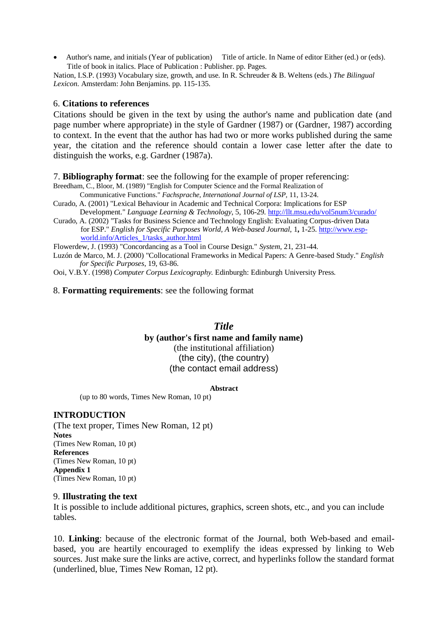• Author's name, and initials (Year of publication) Title of article. In Name of editor Either (ed.) or (eds). Title of book in italics. Place of Publication : Publisher. pp. Pages.

Nation, I.S.P. (1993) Vocabulary size, growth, and use. In R. Schreuder & B. Weltens (eds.) *The Bilingual Lexicon*. Amsterdam: John Benjamins. pp. 115-135.

### 6. **Citations to references**

Citations should be given in the text by using the author's name and publication date (and page number where appropriate) in the style of Gardner (1987) or (Gardner, 1987) according to context. In the event that the author has had two or more works published during the same year, the citation and the reference should contain a lower case letter after the date to distinguish the works, e.g. Gardner (1987a).

7. **Bibliography format**: see the following for the example of proper referencing:

Breedham, C., Bloor, M. (1989) "English for Computer Science and the Formal Realization of Communicative Functions." *Fachsprache, International Journal of LSP,* 11, 13-24.

Curado, A. (2001) "Lexical Behaviour in Academic and Technical Corpora: Implications for ESP Development." *Language Learning & Technology*, 5, 106-29.<http://llt.msu.edu/vol5num3/curado/>

Curado, A. (2002) "Tasks for Business Science and Technology English: Evaluating Corpus-driven Data for ESP." *English for Specific Purposes World, A Web-based Journal*, 1**,** 1-25[. http://www.esp](http://www.esp-world.info/Articles_1/tasks_author.html)[world.info/Articles\\_1/tasks\\_author.html](http://www.esp-world.info/Articles_1/tasks_author.html)

Flowerdew, J. (1993) "Concordancing as a Tool in Course Design." *System*, 21, 231-44.

Luzón de Marco, M. J. (2000) "Collocational Frameworks in Medical Papers: A Genre-based Study." *English for Specific Purposes*, 19, 63-86.

Ooi, V.B.Y. (1998) *Computer Corpus Lexicography.* Edinburgh: Edinburgh University Press.

8. **Formatting requirements**: see the following format

### *Title*

**by (author's first name and family name)** (the institutional affiliation) (the city), (the country) (the contact email address)

**Abstract**

(up to 80 words, Times New Roman, 10 pt)

### **INTRODUCTION**

(The text proper, Times New Roman, 12 pt) **Notes** (Times New Roman, 10 pt) **References** (Times New Roman, 10 pt) **Appendix 1** (Times New Roman, 10 pt)

#### 9. **Illustrating the text**

It is possible to include additional pictures, graphics, screen shots, etc., and you can include tables.

10. **Linking**: because of the electronic format of the Journal, both Web-based and emailbased, you are heartily encouraged to exemplify the ideas expressed by linking to Web sources. Just make sure the links are active, correct, and hyperlinks follow the standard format (underlined, blue, Times New Roman, 12 pt).